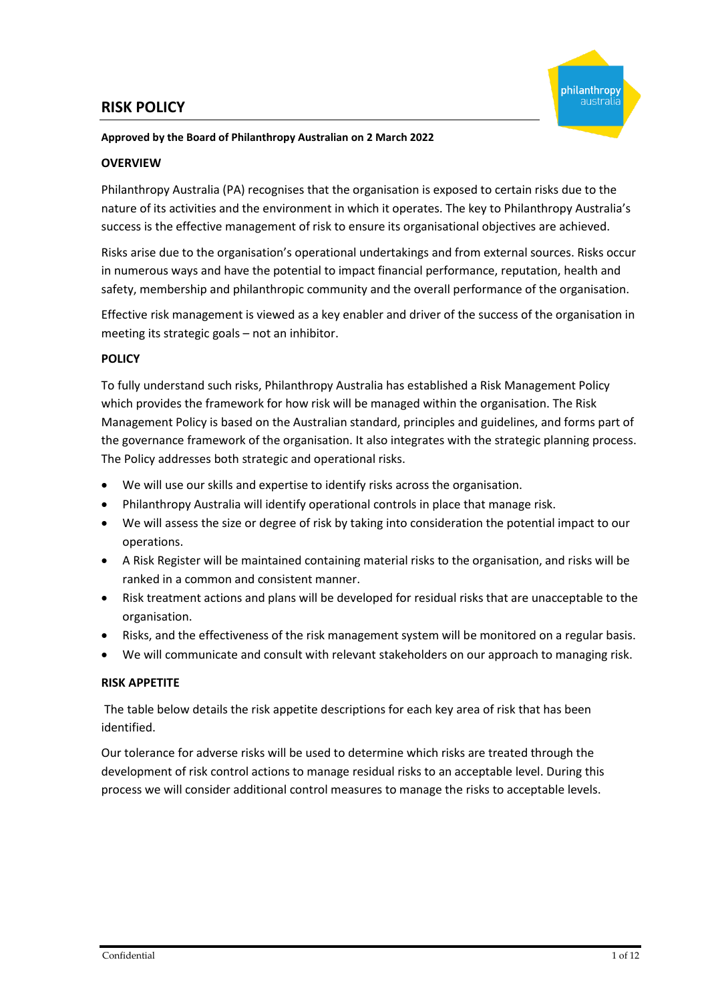# **RISK POLICY**



#### **Approved by the Board of Philanthropy Australian on 2 March 2022**

#### **OVERVIEW**

Philanthropy Australia (PA) recognises that the organisation is exposed to certain risks due to the nature of its activities and the environment in which it operates. The key to Philanthropy Australia's success is the effective management of risk to ensure its organisational objectives are achieved.

Risks arise due to the organisation's operational undertakings and from external sources. Risks occur in numerous ways and have the potential to impact financial performance, reputation, health and safety, membership and philanthropic community and the overall performance of the organisation.

Effective risk management is viewed as a key enabler and driver of the success of the organisation in meeting its strategic goals – not an inhibitor.

### **POLICY**

To fully understand such risks, Philanthropy Australia has established a Risk Management Policy which provides the framework for how risk will be managed within the organisation. The Risk Management Policy is based on the Australian standard, principles and guidelines, and forms part of the governance framework of the organisation. It also integrates with the strategic planning process. The Policy addresses both strategic and operational risks.

- We will use our skills and expertise to identify risks across the organisation.
- Philanthropy Australia will identify operational controls in place that manage risk.
- We will assess the size or degree of risk by taking into consideration the potential impact to our operations.
- A Risk Register will be maintained containing material risks to the organisation, and risks will be ranked in a common and consistent manner.
- Risk treatment actions and plans will be developed for residual risks that are unacceptable to the organisation.
- Risks, and the effectiveness of the risk management system will be monitored on a regular basis.
- We will communicate and consult with relevant stakeholders on our approach to managing risk.

#### **RISK APPETITE**

The table below details the risk appetite descriptions for each key area of risk that has been identified.

Our tolerance for adverse risks will be used to determine which risks are treated through the development of risk control actions to manage residual risks to an acceptable level. During this process we will consider additional control measures to manage the risks to acceptable levels.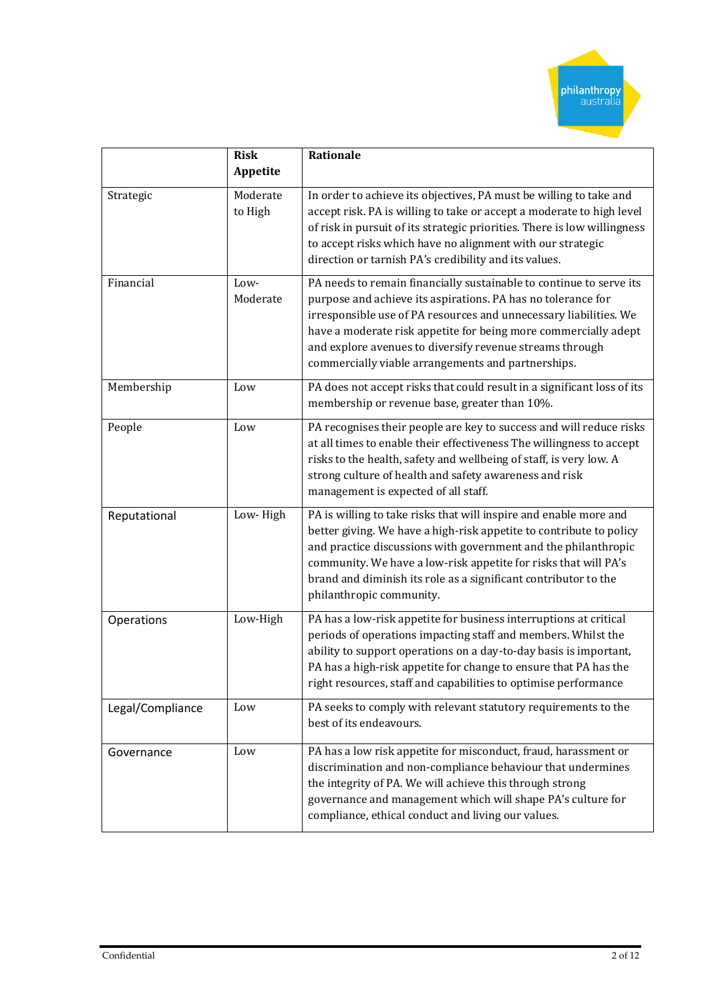

|                        | <b>Risk</b><br>Appetite | <b>Rationale</b>                                                                                                                                                                                                                                                                                                                                                                              |  |  |
|------------------------|-------------------------|-----------------------------------------------------------------------------------------------------------------------------------------------------------------------------------------------------------------------------------------------------------------------------------------------------------------------------------------------------------------------------------------------|--|--|
| Strategic              | Moderate<br>to High     | In order to achieve its objectives, PA must be willing to take and<br>accept risk. PA is willing to take or accept a moderate to high level<br>of risk in pursuit of its strategic priorities. There is low willingness<br>to accept risks which have no alignment with our strategic<br>direction or tarnish PA's credibility and its values.                                                |  |  |
| Financial              | Low-<br>Moderate        | PA needs to remain financially sustainable to continue to serve its<br>purpose and achieve its aspirations. PA has no tolerance for<br>irresponsible use of PA resources and unnecessary liabilities. We<br>have a moderate risk appetite for being more commercially adept<br>and explore avenues to diversify revenue streams through<br>commercially viable arrangements and partnerships. |  |  |
| Membership             | Low                     | PA does not accept risks that could result in a significant loss of its<br>membership or revenue base, greater than 10%.                                                                                                                                                                                                                                                                      |  |  |
| People                 | Low                     | PA recognises their people are key to success and will reduce risks<br>at all times to enable their effectiveness The willingness to accept<br>risks to the health, safety and wellbeing of staff, is very low. A<br>strong culture of health and safety awareness and risk<br>management is expected of all staff.                                                                           |  |  |
| Reputational           | Low-High                | PA is willing to take risks that will inspire and enable more and<br>better giving. We have a high-risk appetite to contribute to policy<br>and practice discussions with government and the philanthropic<br>community. We have a low-risk appetite for risks that will PA's<br>brand and diminish its role as a significant contributor to the<br>philanthropic community.                  |  |  |
| Low-High<br>Operations |                         | PA has a low-risk appetite for business interruptions at critical<br>periods of operations impacting staff and members. Whilst the<br>ability to support operations on a day-to-day basis is important,<br>PA has a high-risk appetite for change to ensure that PA has the<br>right resources, staff and capabilities to optimise performance                                                |  |  |
| Legal/Compliance       | Low                     | PA seeks to comply with relevant statutory requirements to the<br>best of its endeavours.                                                                                                                                                                                                                                                                                                     |  |  |
| Governance             | Low                     | PA has a low risk appetite for misconduct, fraud, harassment or<br>discrimination and non-compliance behaviour that undermines<br>the integrity of PA. We will achieve this through strong<br>governance and management which will shape PA's culture for<br>compliance, ethical conduct and living our values.                                                                               |  |  |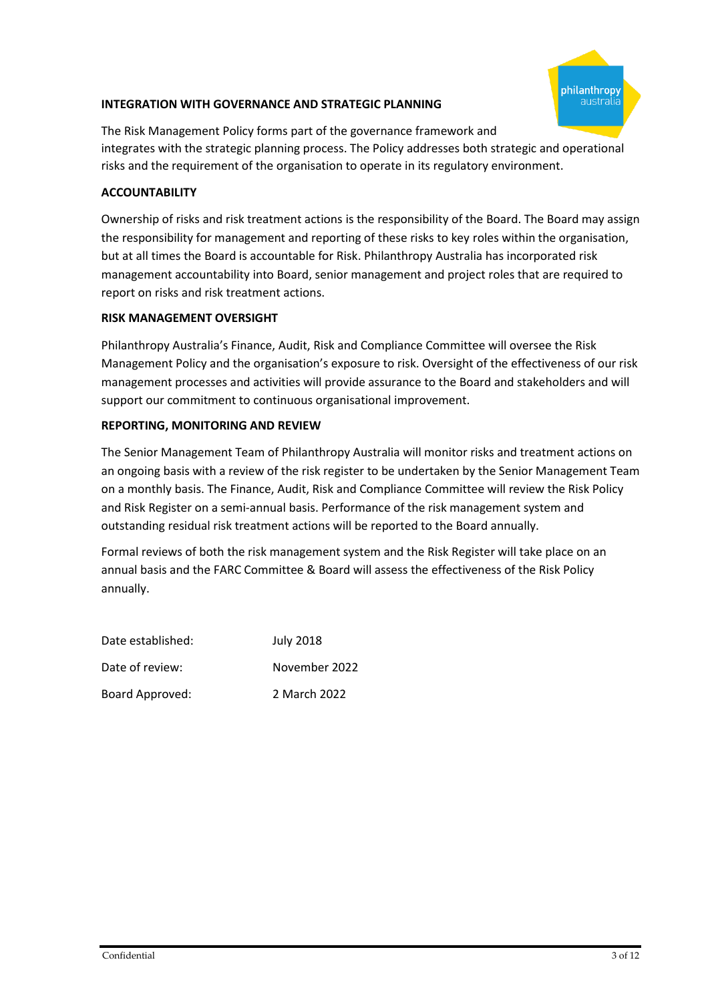### **INTEGRATION WITH GOVERNANCE AND STRATEGIC PLANNING**



The Risk Management Policy forms part of the governance framework and integrates with the strategic planning process. The Policy addresses both strategic and operational risks and the requirement of the organisation to operate in its regulatory environment.

### **ACCOUNTABILITY**

Ownership of risks and risk treatment actions is the responsibility of the Board. The Board may assign the responsibility for management and reporting of these risks to key roles within the organisation, but at all times the Board is accountable for Risk. Philanthropy Australia has incorporated risk management accountability into Board, senior management and project roles that are required to report on risks and risk treatment actions.

### **RISK MANAGEMENT OVERSIGHT**

Philanthropy Australia's Finance, Audit, Risk and Compliance Committee will oversee the Risk Management Policy and the organisation's exposure to risk. Oversight of the effectiveness of our risk management processes and activities will provide assurance to the Board and stakeholders and will support our commitment to continuous organisational improvement.

#### **REPORTING, MONITORING AND REVIEW**

The Senior Management Team of Philanthropy Australia will monitor risks and treatment actions on an ongoing basis with a review of the risk register to be undertaken by the Senior Management Team on a monthly basis. The Finance, Audit, Risk and Compliance Committee will review the Risk Policy and Risk Register on a semi-annual basis. Performance of the risk management system and outstanding residual risk treatment actions will be reported to the Board annually.

Formal reviews of both the risk management system and the Risk Register will take place on an annual basis and the FARC Committee & Board will assess the effectiveness of the Risk Policy annually.

| Date established: | <b>July 2018</b> |
|-------------------|------------------|
| Date of review:   | November 2022    |
| Board Approved:   | 2 March 2022     |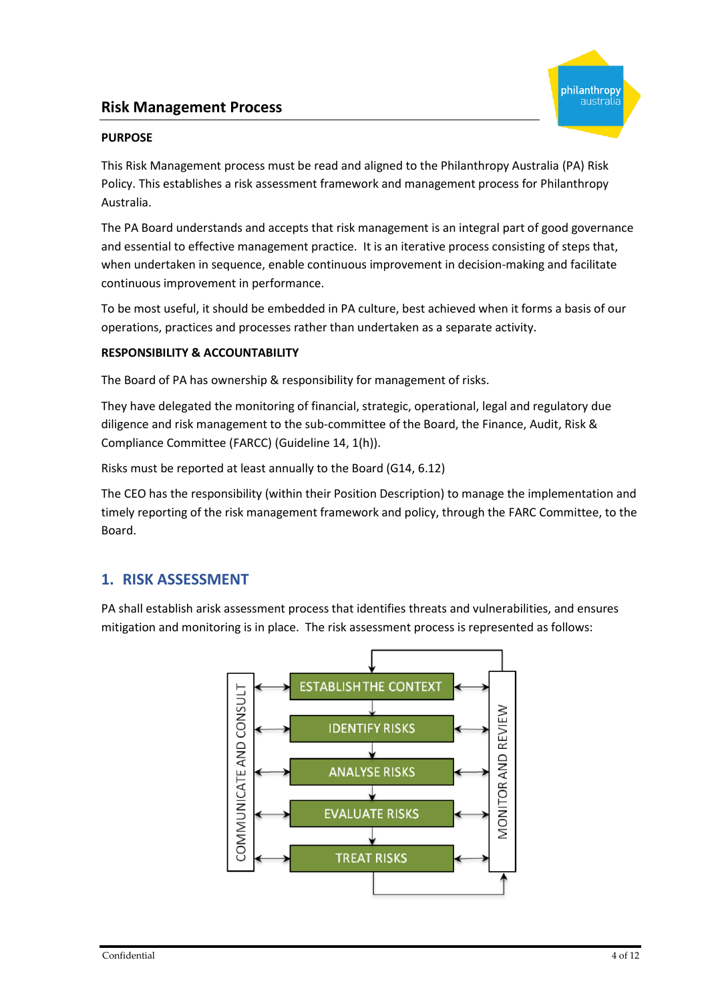# **Risk Management Process**



#### **PURPOSE**

This Risk Management process must be read and aligned to the Philanthropy Australia (PA) Risk Policy. This establishes a risk assessment framework and management process for Philanthropy Australia.

The PA Board understands and accepts that risk management is an integral part of good governance and essential to effective management practice. It is an iterative process consisting of steps that, when undertaken in sequence, enable continuous improvement in decision-making and facilitate continuous improvement in performance.

To be most useful, it should be embedded in PA culture, best achieved when it forms a basis of our operations, practices and processes rather than undertaken as a separate activity.

#### **RESPONSIBILITY & ACCOUNTABILITY**

The Board of PA has ownership & responsibility for management of risks.

They have delegated the monitoring of financial, strategic, operational, legal and regulatory due diligence and risk management to the sub-committee of the Board, the Finance, Audit, Risk & Compliance Committee (FARCC) (Guideline 14, 1(h)).

Risks must be reported at least annually to the Board (G14, 6.12)

The CEO has the responsibility (within their Position Description) to manage the implementation and timely reporting of the risk management framework and policy, through the FARC Committee, to the Board.

# **1. RISK ASSESSMENT**

PA shall establish arisk assessment process that identifies threats and vulnerabilities, and ensures mitigation and monitoring is in place. The risk assessment process is represented as follows:

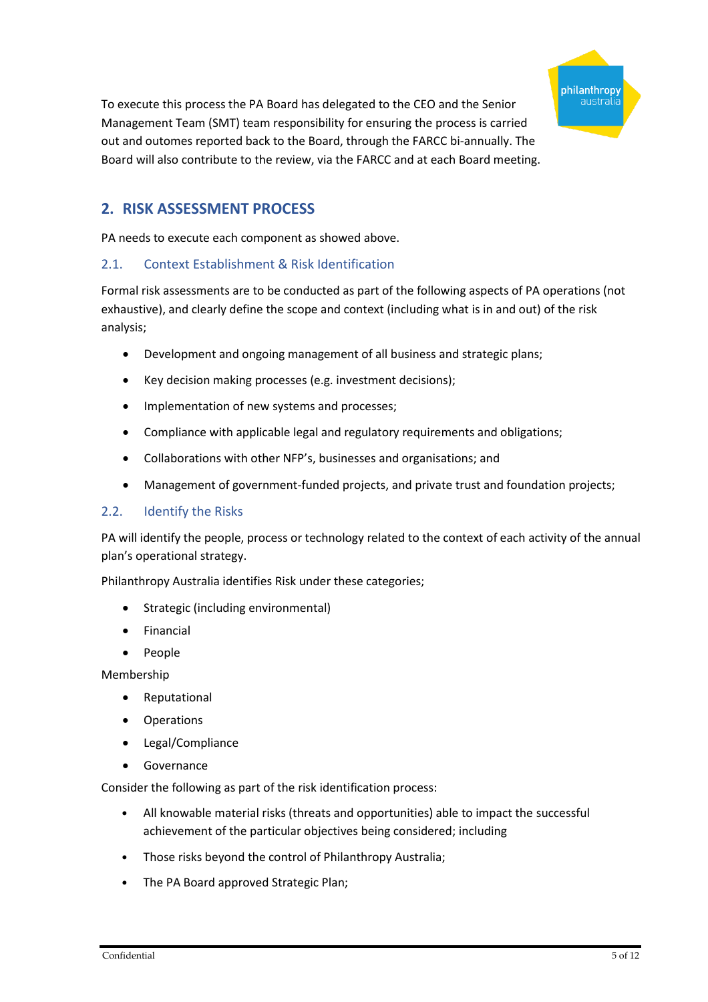

To execute this process the PA Board has delegated to the CEO and the Senior Management Team (SMT) team responsibility for ensuring the process is carried out and outomes reported back to the Board, through the FARCC bi-annually. The Board will also contribute to the review, via the FARCC and at each Board meeting.

# **2. RISK ASSESSMENT PROCESS**

PA needs to execute each component as showed above.

## 2.1. Context Establishment & Risk Identification

Formal risk assessments are to be conducted as part of the following aspects of PA operations (not exhaustive), and clearly define the scope and context (including what is in and out) of the risk analysis;

- Development and ongoing management of all business and strategic plans;
- Key decision making processes (e.g. investment decisions);
- Implementation of new systems and processes;
- Compliance with applicable legal and regulatory requirements and obligations;
- Collaborations with other NFP's, businesses and organisations; and
- Management of government-funded projects, and private trust and foundation projects;

#### 2.2. Identify the Risks

PA will identify the people, process or technology related to the context of each activity of the annual plan's operational strategy.

Philanthropy Australia identifies Risk under these categories;

- Strategic (including environmental)
- Financial
- People

Membership

- Reputational
- Operations
- Legal/Compliance
- Governance

Consider the following as part of the risk identification process:

- All knowable material risks (threats and opportunities) able to impact the successful achievement of the particular objectives being considered; including
- Those risks beyond the control of Philanthropy Australia;
- The PA Board approved Strategic Plan;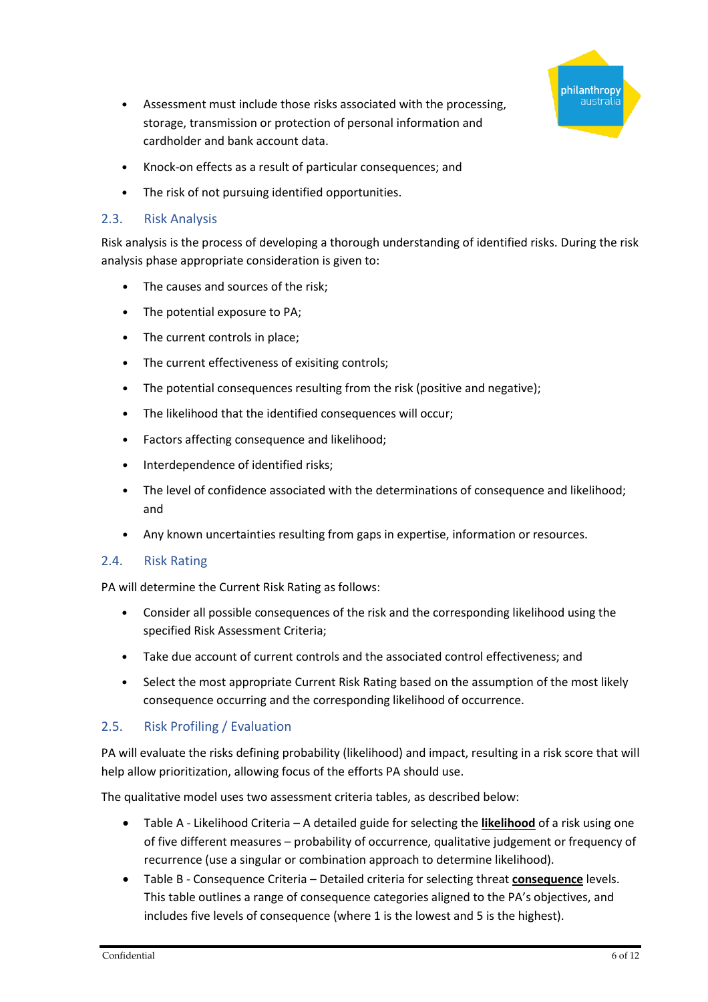

- Assessment must include those risks associated with the processing, storage, transmission or protection of personal information and cardholder and bank account data.
- Knock-on effects as a result of particular consequences; and
- The risk of not pursuing identified opportunities.

### 2.3. Risk Analysis

Risk analysis is the process of developing a thorough understanding of identified risks. During the risk analysis phase appropriate consideration is given to:

- The causes and sources of the risk;
- The potential exposure to PA;
- The current controls in place;
- The current effectiveness of exisiting controls;
- The potential consequences resulting from the risk (positive and negative);
- The likelihood that the identified consequences will occur;
- Factors affecting consequence and likelihood;
- Interdependence of identified risks;
- The level of confidence associated with the determinations of consequence and likelihood; and
- Any known uncertainties resulting from gaps in expertise, information or resources.

## 2.4. Risk Rating

PA will determine the Current Risk Rating as follows:

- Consider all possible consequences of the risk and the corresponding likelihood using the specified Risk Assessment Criteria;
- Take due account of current controls and the associated control effectiveness; and
- Select the most appropriate Current Risk Rating based on the assumption of the most likely consequence occurring and the corresponding likelihood of occurrence.

## 2.5. Risk Profiling / Evaluation

PA will evaluate the risks defining probability (likelihood) and impact, resulting in a risk score that will help allow prioritization, allowing focus of the efforts PA should use.

The qualitative model uses two assessment criteria tables, as described below:

- Table A Likelihood Criteria A detailed guide for selecting the **likelihood** of a risk using one of five different measures – probability of occurrence, qualitative judgement or frequency of recurrence (use a singular or combination approach to determine likelihood).
- Table B Consequence Criteria Detailed criteria for selecting threat **consequence** levels. This table outlines a range of consequence categories aligned to the PA's objectives, and includes five levels of consequence (where 1 is the lowest and 5 is the highest).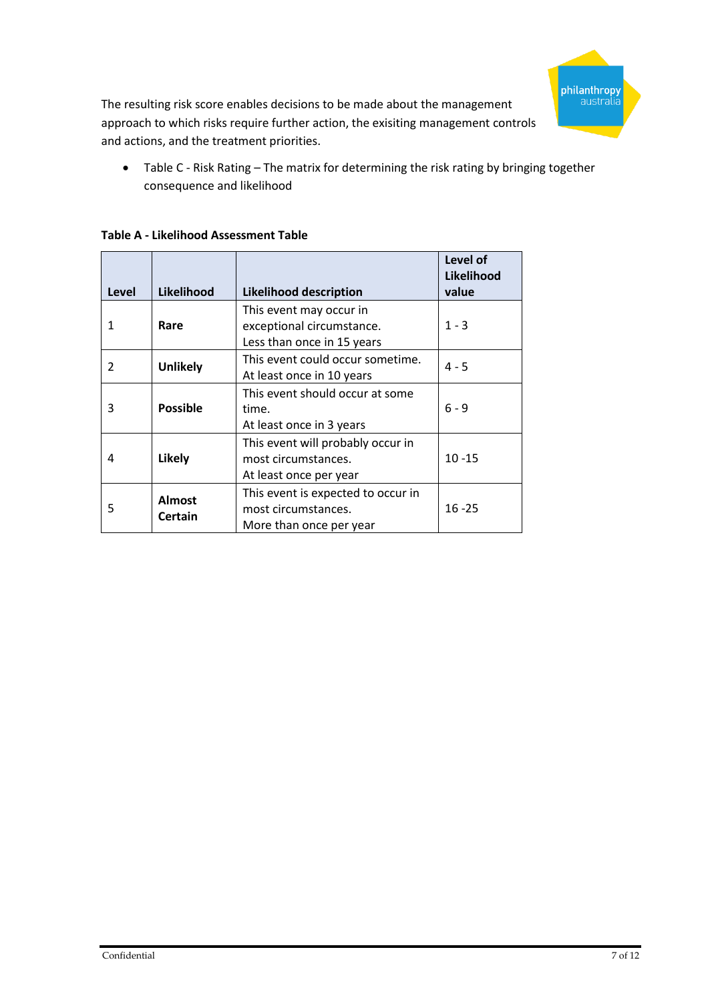

The resulting risk score enables decisions to be made about the management approach to which risks require further action, the exisiting management controls and actions, and the treatment priorities.

• Table C - Risk Rating – The matrix for determining the risk rating by bringing together consequence and likelihood

| Level | Likelihood                      | <b>Likelihood description</b>                                                        | Level of<br>Likelihood<br>value |
|-------|---------------------------------|--------------------------------------------------------------------------------------|---------------------------------|
| 1     | Rare                            | This event may occur in<br>exceptional circumstance.<br>Less than once in 15 years   | $1 - 3$                         |
| 2     | <b>Unlikely</b>                 | This event could occur sometime.<br>At least once in 10 years                        | $4 - 5$                         |
| 3     | <b>Possible</b>                 | This event should occur at some<br>time.<br>At least once in 3 years                 | $6 - 9$                         |
| 4     | Likely                          | This event will probably occur in<br>most circumstances.<br>At least once per year   | $10 - 15$                       |
| 5     | <b>Almost</b><br><b>Certain</b> | This event is expected to occur in<br>most circumstances.<br>More than once per year | $16 - 25$                       |

**Table A - Likelihood Assessment Table**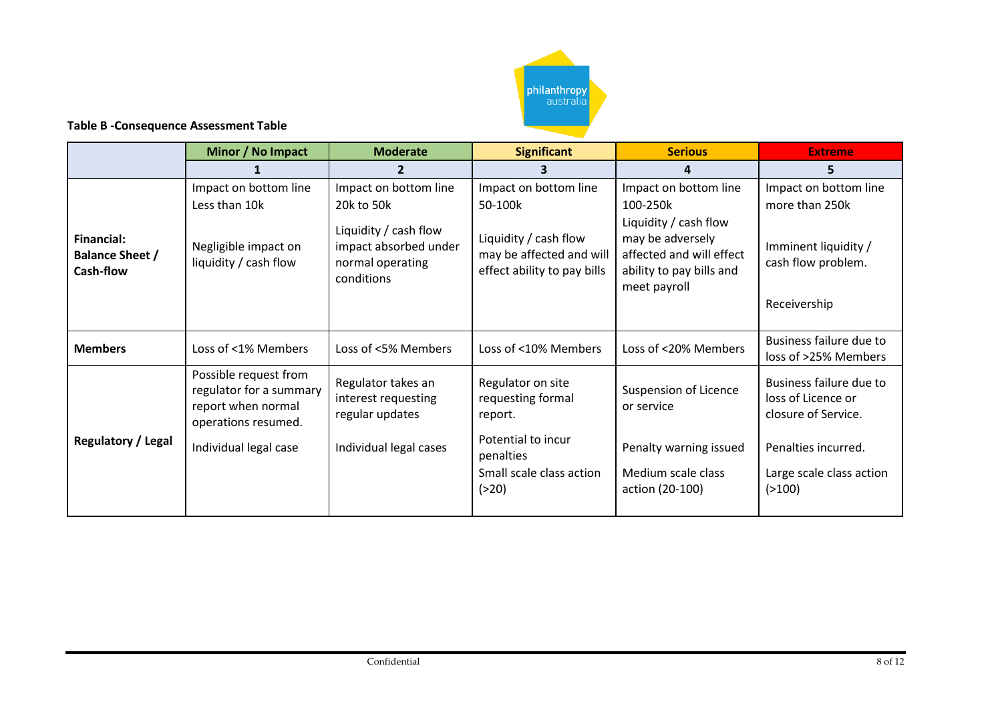

### **Table B -Consequence Assessment Table**

|                                                                 | Minor / No Impact                                                                                                      | <b>Moderate</b>                                                                                                         | <b>Significant</b>                                                                                                          | <b>Serious</b>                                                                                                                                         | <b>Extreme</b>                                                                                                                      |
|-----------------------------------------------------------------|------------------------------------------------------------------------------------------------------------------------|-------------------------------------------------------------------------------------------------------------------------|-----------------------------------------------------------------------------------------------------------------------------|--------------------------------------------------------------------------------------------------------------------------------------------------------|-------------------------------------------------------------------------------------------------------------------------------------|
|                                                                 |                                                                                                                        |                                                                                                                         |                                                                                                                             | 4                                                                                                                                                      | 5                                                                                                                                   |
| <b>Financial:</b><br><b>Balance Sheet /</b><br><b>Cash-flow</b> | Impact on bottom line<br>Less than 10k<br>Negligible impact on<br>liquidity / cash flow                                | Impact on bottom line<br>20k to 50k<br>Liquidity / cash flow<br>impact absorbed under<br>normal operating<br>conditions | Impact on bottom line<br>50-100k<br>Liquidity / cash flow<br>may be affected and will<br>effect ability to pay bills        | Impact on bottom line<br>100-250k<br>Liquidity / cash flow<br>may be adversely<br>affected and will effect<br>ability to pay bills and<br>meet payroll | Impact on bottom line<br>more than 250k<br>Imminent liquidity /<br>cash flow problem.<br>Receivership                               |
| <b>Members</b>                                                  | Loss of <1% Members                                                                                                    | Loss of <5% Members                                                                                                     | Loss of <10% Members                                                                                                        | Loss of <20% Members                                                                                                                                   | Business failure due to<br>loss of >25% Members                                                                                     |
| <b>Regulatory / Legal</b>                                       | Possible request from<br>regulator for a summary<br>report when normal<br>operations resumed.<br>Individual legal case | Regulator takes an<br>interest requesting<br>regular updates<br>Individual legal cases                                  | Regulator on site<br>requesting formal<br>report.<br>Potential to incur<br>penalties<br>Small scale class action<br>( > 20) | Suspension of Licence<br>or service<br>Penalty warning issued<br>Medium scale class<br>action (20-100)                                                 | Business failure due to<br>loss of Licence or<br>closure of Service.<br>Penalties incurred.<br>Large scale class action<br>( > 100) |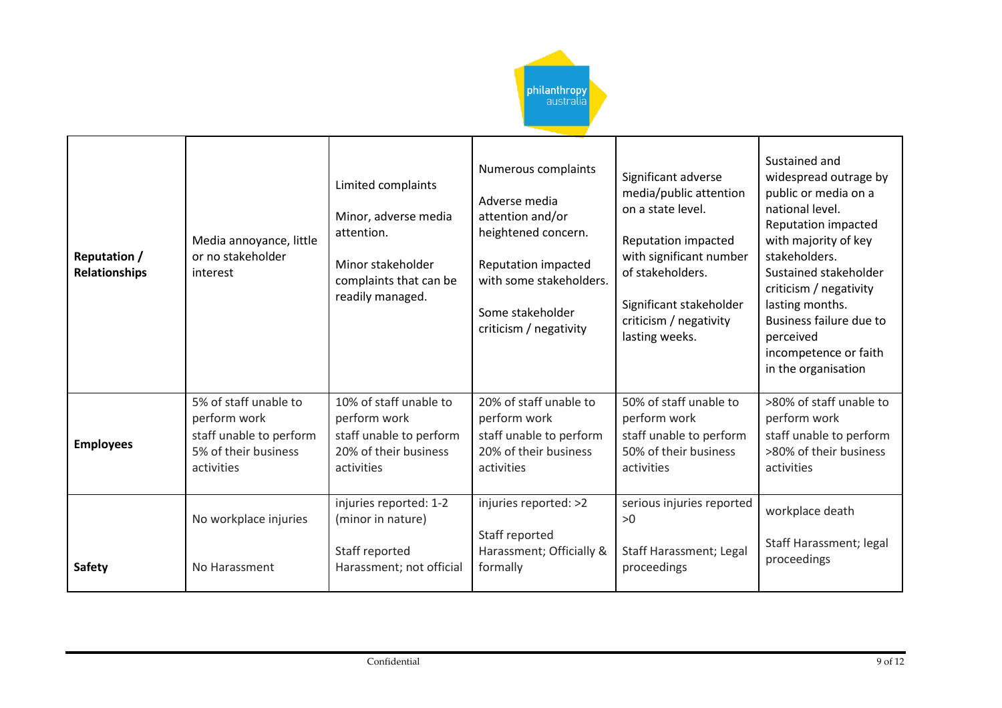

| <b>Reputation /</b><br><b>Relationships</b> | Media annoyance, little<br>or no stakeholder<br>interest                                               | Limited complaints<br>Minor, adverse media<br>attention.<br>Minor stakeholder<br>complaints that can be<br>readily managed. | Numerous complaints<br>Adverse media<br>attention and/or<br>heightened concern.<br>Reputation impacted<br>with some stakeholders.<br>Some stakeholder<br>criticism / negativity | Significant adverse<br>media/public attention<br>on a state level.<br>Reputation impacted<br>with significant number<br>of stakeholders.<br>Significant stakeholder<br>criticism / negativity<br>lasting weeks. | Sustained and<br>widespread outrage by<br>public or media on a<br>national level.<br>Reputation impacted<br>with majority of key<br>stakeholders.<br>Sustained stakeholder<br>criticism / negativity<br>lasting months.<br>Business failure due to<br>perceived<br>incompetence or faith<br>in the organisation |
|---------------------------------------------|--------------------------------------------------------------------------------------------------------|-----------------------------------------------------------------------------------------------------------------------------|---------------------------------------------------------------------------------------------------------------------------------------------------------------------------------|-----------------------------------------------------------------------------------------------------------------------------------------------------------------------------------------------------------------|-----------------------------------------------------------------------------------------------------------------------------------------------------------------------------------------------------------------------------------------------------------------------------------------------------------------|
| <b>Employees</b>                            | 5% of staff unable to<br>perform work<br>staff unable to perform<br>5% of their business<br>activities | 10% of staff unable to<br>perform work<br>staff unable to perform<br>20% of their business<br>activities                    | 20% of staff unable to<br>perform work<br>staff unable to perform<br>20% of their business<br>activities                                                                        | 50% of staff unable to<br>perform work<br>staff unable to perform<br>50% of their business<br>activities                                                                                                        | >80% of staff unable to<br>perform work<br>staff unable to perform<br>>80% of their business<br>activities                                                                                                                                                                                                      |
| <b>Safety</b>                               | No workplace injuries<br>No Harassment                                                                 | injuries reported: 1-2<br>(minor in nature)<br>Staff reported<br>Harassment; not official                                   | injuries reported: >2<br>Staff reported<br>Harassment; Officially &<br>formally                                                                                                 | serious injuries reported<br>>0<br>Staff Harassment; Legal<br>proceedings                                                                                                                                       | workplace death<br>Staff Harassment; legal<br>proceedings                                                                                                                                                                                                                                                       |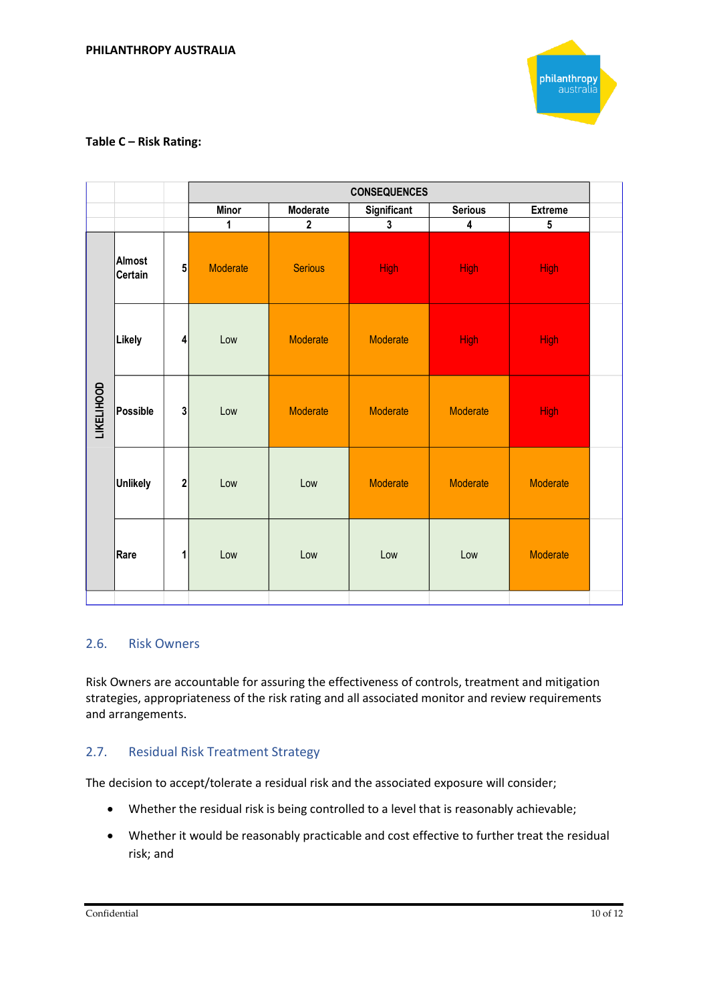

#### **Table C – Risk Rating:**

|                   |                          |              | <b>CONSEQUENCES</b> |                |                         |                         |                 |  |
|-------------------|--------------------------|--------------|---------------------|----------------|-------------------------|-------------------------|-----------------|--|
|                   |                          |              | <b>Minor</b>        | Moderate       | Significant             | <b>Serious</b>          | <b>Extreme</b>  |  |
|                   |                          |              | 1                   | $\overline{2}$ | $\overline{\mathbf{3}}$ | $\overline{\mathbf{4}}$ | $5\phantom{.0}$ |  |
|                   | Almost<br><b>Certain</b> | ${\bf 5}$    | Moderate            | <b>Serious</b> | <b>High</b>             | <b>High</b>             | <b>High</b>     |  |
|                   | Likely                   | 4            | Low                 | Moderate       | Moderate                | <b>High</b>             | <b>High</b>     |  |
| <b>LIKELIHOOD</b> | Possible                 | $\mathbf{3}$ | Low                 | Moderate       | Moderate                | Moderate                | <b>High</b>     |  |
|                   | <b>Unlikely</b>          | $\mathbf{2}$ | Low                 | Low            | Moderate                | Moderate                | Moderate        |  |
|                   | Rare                     | 1            | Low                 | Low            | Low                     | Low                     | Moderate        |  |
|                   |                          |              |                     |                |                         |                         |                 |  |

#### 2.6. Risk Owners

Risk Owners are accountable for assuring the effectiveness of controls, treatment and mitigation strategies, appropriateness of the risk rating and all associated monitor and review requirements and arrangements.

#### 2.7. Residual Risk Treatment Strategy

The decision to accept/tolerate a residual risk and the associated exposure will consider;

- Whether the residual risk is being controlled to a level that is reasonably achievable;
- Whether it would be reasonably practicable and cost effective to further treat the residual risk; and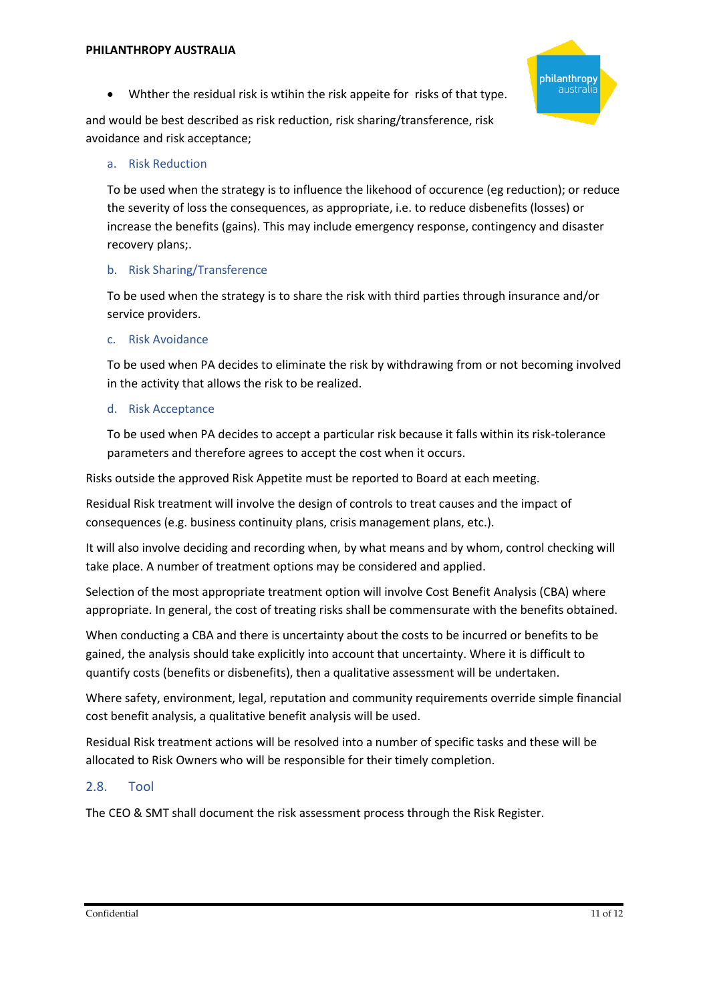

• Whther the residual risk is wtihin the risk appeite for risks of that type.

and would be best described as risk reduction, risk sharing/transference, risk avoidance and risk acceptance;

## a. Risk Reduction

To be used when the strategy is to influence the likehood of occurence (eg reduction); or reduce the severity of loss the consequences, as appropriate, i.e. to reduce disbenefits (losses) or increase the benefits (gains). This may include emergency response, contingency and disaster recovery plans;.

## b. Risk Sharing/Transference

To be used when the strategy is to share the risk with third parties through insurance and/or service providers.

## c. Risk Avoidance

To be used when PA decides to eliminate the risk by withdrawing from or not becoming involved in the activity that allows the risk to be realized.

## d. Risk Acceptance

To be used when PA decides to accept a particular risk because it falls within its risk-tolerance parameters and therefore agrees to accept the cost when it occurs.

Risks outside the approved Risk Appetite must be reported to Board at each meeting.

Residual Risk treatment will involve the design of controls to treat causes and the impact of consequences (e.g. business continuity plans, crisis management plans, etc.).

It will also involve deciding and recording when, by what means and by whom, control checking will take place. A number of treatment options may be considered and applied.

Selection of the most appropriate treatment option will involve Cost Benefit Analysis (CBA) where appropriate. In general, the cost of treating risks shall be commensurate with the benefits obtained.

When conducting a CBA and there is uncertainty about the costs to be incurred or benefits to be gained, the analysis should take explicitly into account that uncertainty. Where it is difficult to quantify costs (benefits or disbenefits), then a qualitative assessment will be undertaken.

Where safety, environment, legal, reputation and community requirements override simple financial cost benefit analysis, a qualitative benefit analysis will be used.

Residual Risk treatment actions will be resolved into a number of specific tasks and these will be allocated to Risk Owners who will be responsible for their timely completion.

# 2.8. Tool

The CEO & SMT shall document the risk assessment process through the Risk Register.